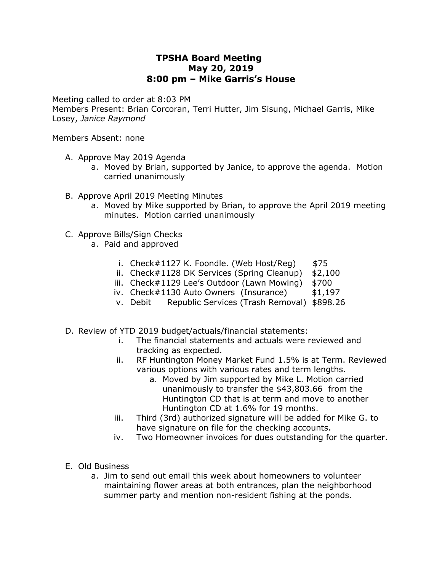## **TPSHA Board Meeting May 20, 2019 8:00 pm – Mike Garris's House**

Meeting called to order at 8:03 PM

Members Present: Brian Corcoran, Terri Hutter, Jim Sisung, Michael Garris, Mike Losey, *Janice Raymond* 

Members Absent: none

- A. Approve May 2019 Agenda
	- a. Moved by Brian, supported by Janice, to approve the agenda. Motion carried unanimously
- B. Approve April 2019 Meeting Minutes
	- a. Moved by Mike supported by Brian, to approve the April 2019 meeting minutes. Motion carried unanimously
- C. Approve Bills/Sign Checks
	- a. Paid and approved
		- i. Check#1127 K. Foondle. (Web Host/Reg)  $$75$
		- ii. Check#1128 DK Services (Spring Cleanup) \$2,100
		- iii. Check#1129 Lee's Outdoor (Lawn Mowing) \$700
		- iv. Check#1130 Auto Owners (Insurance) \$1,197
		- v. Debit Republic Services (Trash Removal) \$898.26
- D. Review of YTD 2019 budget/actuals/financial statements:
	- i. The financial statements and actuals were reviewed and tracking as expected.
	- ii. RF Huntington Money Market Fund 1.5% is at Term. Reviewed various options with various rates and term lengths.
		- a. Moved by Jim supported by Mike L. Motion carried unanimously to transfer the \$43,803.66 from the Huntington CD that is at term and move to another Huntington CD at 1.6% for 19 months.
	- iii. Third (3rd) authorized signature will be added for Mike G. to have signature on file for the checking accounts.
	- iv. Two Homeowner invoices for dues outstanding for the quarter.
- E. Old Business
	- a. Jim to send out email this week about homeowners to volunteer maintaining flower areas at both entrances, plan the neighborhood summer party and mention non-resident fishing at the ponds.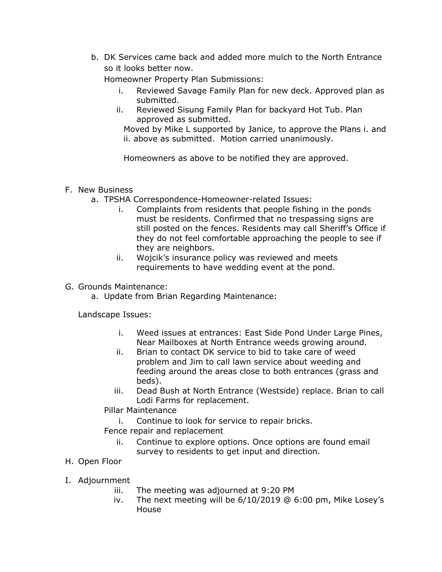b. DK Services came back and added more mulch to the North Entrance so it looks better now.

Homeowner Property Plan Submissions:

- i. Reviewed Savage Family Plan for new deck. Approved plan as submitted.
- ii. Reviewed Sisung Family Plan for backyard Hot Tub. Plan approved as submitted.

Moved by Mike L supported by Janice, to approve the Plans i. and ii. above as submitted. Motion carried unanimously.

Homeowners as above to be notified they are approved.

## F. New Business

- a. TPSHA Correspondence-Homeowner-related Issues:
	- i. Complaints from residents that people fishing in the ponds must be residents. Confirmed that no trespassing signs are still posted on the fences. Residents may call Sheriff's Office if they do not feel comfortable approaching the people to see if they are neighbors.
	- ii. Wojcik's insurance policy was reviewed and meets requirements to have wedding event at the pond.

G. Grounds Maintenance:

a. Update from Brian Regarding Maintenance:

Landscape Issues:

- i. Weed issues at entrances: East Side Pond Under Large Pines, Near Mailboxes at North Entrance weeds growing around.
- ii. Brian to contact DK service to bid to take care of weed problem and Jim to call lawn service about weeding and feeding around the areas close to both entrances (grass and beds).
- iii. Dead Bush at North Entrance (Westside) replace. Brian to call Lodi Farms for replacement.

Pillar Maintenance

- i. Continue to look for service to repair bricks.
- Fence repair and replacement
	- ii. Continue to explore options. Once options are found email survey to residents to get input and direction.
- H. Open Floor
- I. Adjournment
	- iii. The meeting was adjourned at 9:20 PM
	- iv. The next meeting will be 6/10/2019 @ 6:00 pm, Mike Losey's House